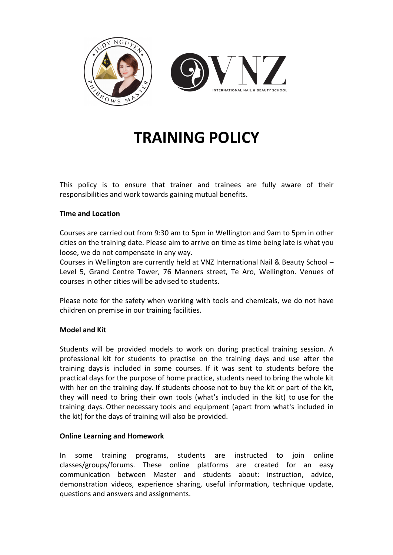

# **TRAINING POLICY**

This policy is to ensure that trainer and trainees are fully aware of their responsibilities and work towards gaining mutual benefits.

### **Time and Location**

Courses are carried out from 9:30 am to 5pm in Wellington and 9am to 5pm in other cities on the training date. Please aim to arrive on time as time being late is what you loose, we do not compensate in any way.

Courses in Wellington are currently held at VNZ International Nail & Beauty School – Level 5, Grand Centre Tower, 76 Manners street, Te Aro, Wellington. Venues of courses in other cities will be advised to students.

Please note for the safety when working with tools and chemicals, we do not have children on premise in our training facilities.

### **Model and Kit**

Students will be provided models to work on during practical training session. A professional kit for students to practise on the training days and use after the training days is included in some courses. If it was sent to students before the practical days for the purpose of home practice, students need to bring the whole kit with her on the training day. If students choose not to buy the kit or part of the kit, they will need to bring their own tools (what's included in the kit) to use for the training days. Other necessary tools and equipment (apart from what's included in the kit) for the days of training will also be provided.

### **Online Learning and Homework**

In some training programs, students are instructed to join online classes/groups/forums. These online platforms are created for an easy communication between Master and students about: instruction, advice, demonstration videos, experience sharing, useful information, technique update, questions and answers and assignments.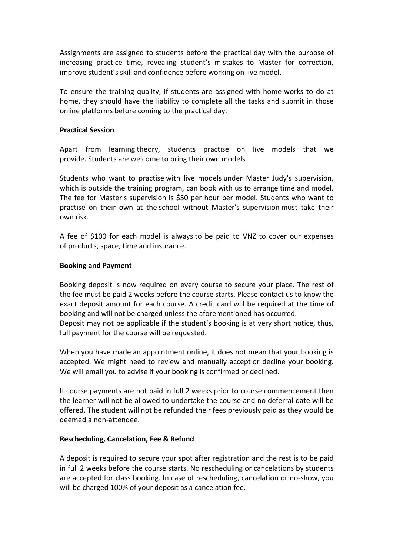Assignments are assigned to students before the practical day with the purpose of increasing practice time, revealing student's mistakes to Master for correction, improve student's skill and confidence before working on live model.

To ensure the training quality, if students are assigned with home-works to do at home, they should have the liability to complete all the tasks and submit in those online platforms before coming to the practical day.

### **Practical Session**

Apart from learning theory, students practise on live models that we provide. Students are welcome to bring their own models.

Students who want to practise with live models under Master Judy's supervision, which is outside the training program, can book with us to arrange time and model. The fee for Master's supervision is \$50 per hour per model. Students who want to practise on their own at the school without Master's supervision must take their own risk.

A fee of \$100 for each model is always to be paid to VNZ to cover our expenses of products, space, time and insurance.

## **Booking and Payment**

Booking deposit is now required on every course to secure your place. The rest of the fee must be paid 2 weeks before the course starts. Please contact us to know the exact deposit amount for each course. A credit card will be required at the time of booking and will not be charged unless the aforementioned has occurred.

Deposit may not be applicable if the student's booking is at very short notice, thus, full payment for the course will be requested.

When you have made an appointment online, it does not mean that your booking is accepted. We might need to review and manually accept or decline your booking. We will email you to advise if your booking is confirmed or declined.

If course payments are not paid in full 2 weeks prior to course commencement then the learner will not be allowed to undertake the course and no deferral date will be offered. The student will not be refunded their fees previously paid as they would be deemed a non-attendee.

### **Rescheduling, Cancelation, Fee & Refund**

A deposit is required to secure your spot after registration and the rest is to be paid in full 2 weeks before the course starts. No rescheduling or cancelations by students are accepted for class booking. In case of rescheduling, cancelation or no-show, you will be charged 100% of your deposit as a cancelation fee.